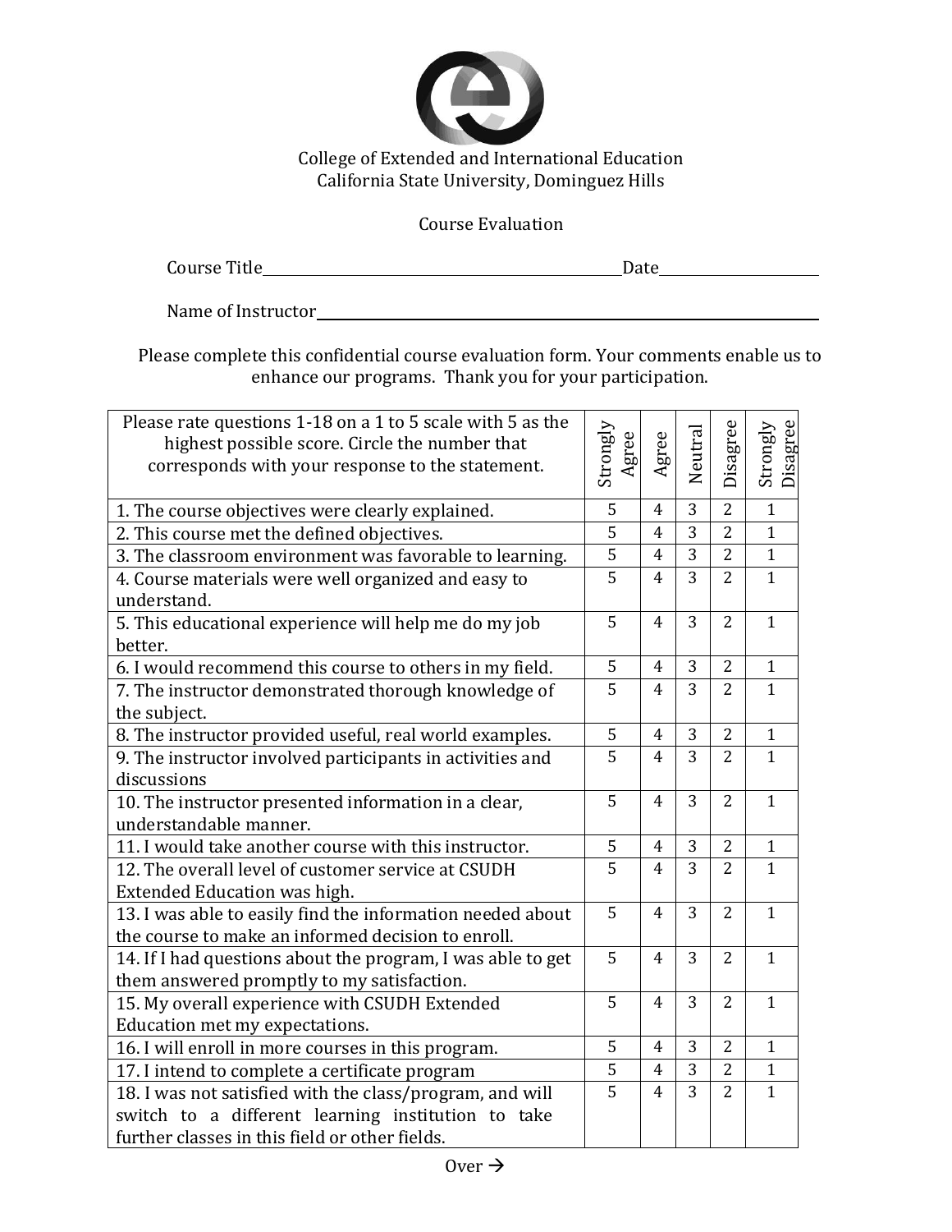

## Course Evaluation

| Course Title |  |
|--------------|--|
|              |  |

Name of Instructor

Please complete this confidential course evaluation form. Your comments enable us to enhance our programs. Thank you for your participation.

| Please rate questions 1-18 on a 1 to 5 scale with 5 as the<br>highest possible score. Circle the number that<br>corresponds with your response to the statement. |  | gree<br>⋖      | Neutra         | Disagree       | Strongly<br>Disagree |
|------------------------------------------------------------------------------------------------------------------------------------------------------------------|--|----------------|----------------|----------------|----------------------|
| 1. The course objectives were clearly explained.                                                                                                                 |  | 4              | 3              | $\overline{2}$ | $\overline{1}$       |
| 2. This course met the defined objectives.                                                                                                                       |  | $\overline{4}$ | 3              | $\overline{2}$ | $\mathbf{1}$         |
| 3. The classroom environment was favorable to learning.                                                                                                          |  | $\overline{4}$ | $\overline{3}$ | $\overline{2}$ | $\mathbf{1}$         |
| 4. Course materials were well organized and easy to<br>understand.                                                                                               |  | $\overline{4}$ | 3              | $\overline{2}$ | $\mathbf{1}$         |
| 5. This educational experience will help me do my job<br>better.                                                                                                 |  | $\overline{4}$ | 3              | $\overline{2}$ | $\mathbf{1}$         |
| 6. I would recommend this course to others in my field.                                                                                                          |  | 4              | 3              | $\overline{2}$ | $\mathbf{1}$         |
| 7. The instructor demonstrated thorough knowledge of<br>the subject.                                                                                             |  | $\overline{4}$ | 3              | $\overline{2}$ | $\mathbf{1}$         |
| 8. The instructor provided useful, real world examples.                                                                                                          |  | $\overline{4}$ | 3              | $\overline{2}$ | $\mathbf{1}$         |
| 9. The instructor involved participants in activities and<br>discussions                                                                                         |  | 4              | 3              | $\overline{2}$ | $\mathbf{1}$         |
| 10. The instructor presented information in a clear,<br>understandable manner.                                                                                   |  | $\overline{4}$ | 3              | $\overline{2}$ | $\mathbf{1}$         |
| 11. I would take another course with this instructor.                                                                                                            |  | $\overline{4}$ | 3              | $\overline{2}$ | $\mathbf{1}$         |
| 12. The overall level of customer service at CSUDH<br>Extended Education was high.                                                                               |  | $\overline{4}$ | 3              | $\overline{2}$ | $\mathbf{1}$         |
| 13. I was able to easily find the information needed about<br>the course to make an informed decision to enroll.                                                 |  | $\overline{4}$ | 3              | $\overline{2}$ | $\mathbf{1}$         |
| 14. If I had questions about the program, I was able to get<br>them answered promptly to my satisfaction.                                                        |  | 4              | 3              | $\overline{2}$ | $\mathbf{1}$         |
| 15. My overall experience with CSUDH Extended<br>Education met my expectations.                                                                                  |  | 4              | 3              | $\overline{2}$ | $\mathbf{1}$         |
| 16. I will enroll in more courses in this program.                                                                                                               |  | 4              | 3              | $\overline{2}$ | $\mathbf{1}$         |
| 17. I intend to complete a certificate program                                                                                                                   |  | 4              | 3              | $\overline{2}$ | $\mathbf{1}$         |
| 18. I was not satisfied with the class/program, and will<br>switch to a different learning institution to take<br>further classes in this field or other fields. |  | 4              | 3              | $\overline{2}$ | $\mathbf{1}$         |